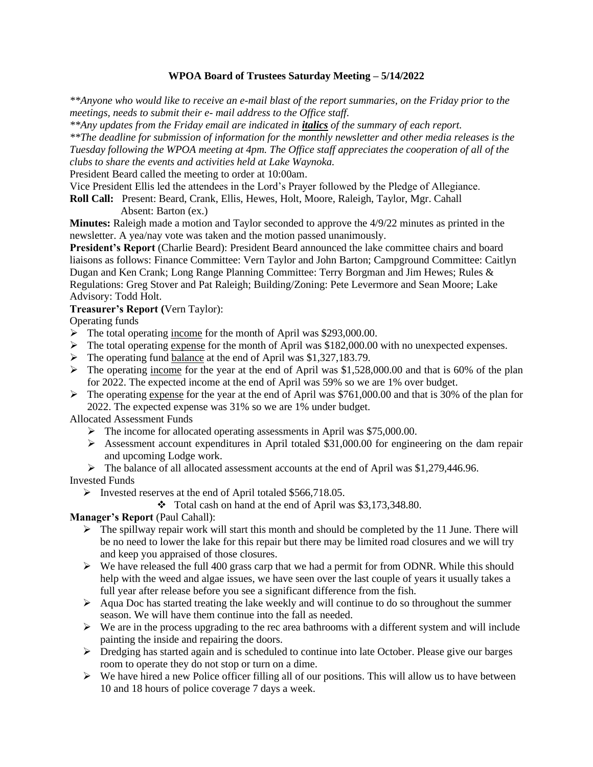# **WPOA Board of Trustees Saturday Meeting – 5/14/2022**

*\*\*Anyone who would like to receive an e-mail blast of the report summaries, on the Friday prior to the meetings, needs to submit their e- mail address to the Office staff.*

*\*\*Any updates from the Friday email are indicated in italics of the summary of each report. \*\*The deadline for submission of information for the monthly newsletter and other media releases is the Tuesday following the WPOA meeting at 4pm. The Office staff appreciates the cooperation of all of the clubs to share the events and activities held at Lake Waynoka.*

President Beard called the meeting to order at 10:00am.

Vice President Ellis led the attendees in the Lord's Prayer followed by the Pledge of Allegiance.

**Roll Call:** Present: Beard, Crank, Ellis, Hewes, Holt, Moore, Raleigh, Taylor, Mgr. Cahall Absent: Barton (ex.)

**Minutes:** Raleigh made a motion and Taylor seconded to approve the 4/9/22 minutes as printed in the newsletter. A yea/nay vote was taken and the motion passed unanimously.

**President's Report** (Charlie Beard): President Beard announced the lake committee chairs and board liaisons as follows: Finance Committee: Vern Taylor and John Barton; Campground Committee: Caitlyn Dugan and Ken Crank; Long Range Planning Committee: Terry Borgman and Jim Hewes; Rules & Regulations: Greg Stover and Pat Raleigh; Building/Zoning: Pete Levermore and Sean Moore; Lake Advisory: Todd Holt.

# **Treasurer's Report (**Vern Taylor):

Operating funds

- ➢ The total operating income for the month of April was \$293,000.00.
- ➢ The total operating expense for the month of April was \$182,000.00 with no unexpected expenses.
- ➢ The operating fund balance at the end of April was \$1,327,183.79.
- $\triangleright$  The operating income for the year at the end of April was \$1,528,000.00 and that is 60% of the plan for 2022. The expected income at the end of April was 59% so we are 1% over budget.
- $\triangleright$  The operating expense for the year at the end of April was \$761,000.00 and that is 30% of the plan for 2022. The expected expense was 31% so we are 1% under budget.

Allocated Assessment Funds

- ➢ The income for allocated operating assessments in April was \$75,000.00.
- $\triangleright$  Assessment account expenditures in April totaled \$31,000.00 for engineering on the dam repair and upcoming Lodge work.
- $\triangleright$  The balance of all allocated assessment accounts at the end of April was \$1,279,446.96.

#### Invested Funds

- ➢ Invested reserves at the end of April totaled \$566,718.05.
	- ❖ Total cash on hand at the end of April was \$3,173,348.80.

# **Manager's Report** (Paul Cahall):

- $\triangleright$  The spillway repair work will start this month and should be completed by the 11 June. There will be no need to lower the lake for this repair but there may be limited road closures and we will try and keep you appraised of those closures.
- $\triangleright$  We have released the full 400 grass carp that we had a permit for from ODNR. While this should help with the weed and algae issues, we have seen over the last couple of years it usually takes a full year after release before you see a significant difference from the fish.
- $\triangleright$  Aqua Doc has started treating the lake weekly and will continue to do so throughout the summer season. We will have them continue into the fall as needed.
- $\triangleright$  We are in the process upgrading to the rec area bathrooms with a different system and will include painting the inside and repairing the doors.
- $\triangleright$  Dredging has started again and is scheduled to continue into late October. Please give our barges room to operate they do not stop or turn on a dime.
- ➢ We have hired a new Police officer filling all of our positions. This will allow us to have between 10 and 18 hours of police coverage 7 days a week.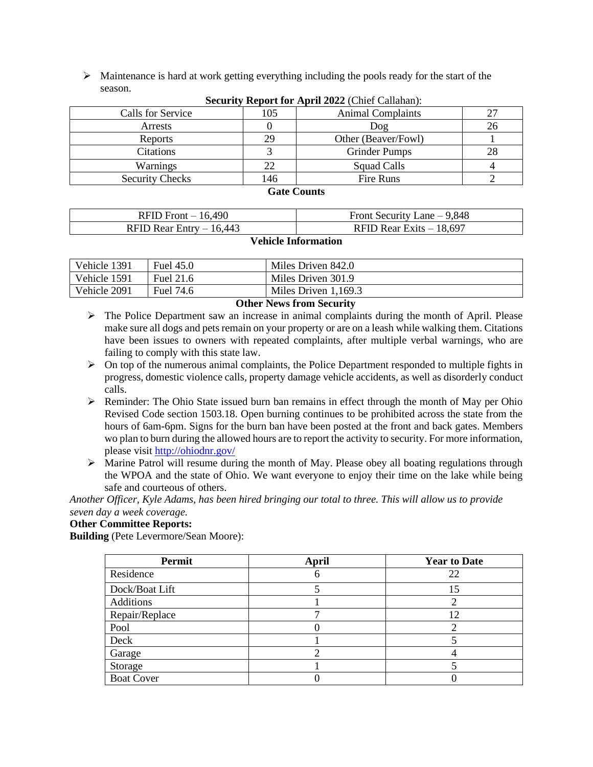$\triangleright$  Maintenance is hard at work getting everything including the pools ready for the start of the season.

| $\sim$                 |     |                          |    |  |  |
|------------------------|-----|--------------------------|----|--|--|
| Calls for Service      | 105 | <b>Animal Complaints</b> |    |  |  |
| Arrests                |     | Doq                      | 26 |  |  |
| Reports                | 29  | Other (Beaver/Fowl)      |    |  |  |
| Citations              |     | <b>Grinder Pumps</b>     | 28 |  |  |
| Warnings               |     | Squad Calls              |    |  |  |
| <b>Security Checks</b> | 146 | Fire Runs                |    |  |  |

**Security Report for April 2022** (Chief Callahan):

#### **Gate Counts**

| RFID Front $-16,490$      | Front Security Lane $-9,848$ |
|---------------------------|------------------------------|
| RFID Rear Entry $-16,443$ | RFID Rear Exits $-18,697$    |

#### **Vehicle Information**

| Vehicle 1391 | Fuel 45.0 | Miles Driven 842.0     |
|--------------|-----------|------------------------|
| Vehicle 1591 | Fuel 21.6 | Miles Driven 301.9     |
| Vehicle 2091 | Fuel 74.6 | Miles Driven $1,169.3$ |

#### **Other News from Security**

- $\triangleright$  The Police Department saw an increase in animal complaints during the month of April. Please make sure all dogs and pets remain on your property or are on a leash while walking them. Citations have been issues to owners with repeated complaints, after multiple verbal warnings, who are failing to comply with this state law.
- $\triangleright$  On top of the numerous animal complaints, the Police Department responded to multiple fights in progress, domestic violence calls, property damage vehicle accidents, as well as disorderly conduct calls.
- $\triangleright$  Reminder: The Ohio State issued burn ban remains in effect through the month of May per Ohio Revised Code section 1503.18. Open burning continues to be prohibited across the state from the hours of 6am-6pm. Signs for the burn ban have been posted at the front and back gates. Members wo plan to burn during the allowed hours are to report the activity to security. For more information, please visit<http://ohiodnr.gov/>
- ➢ Marine Patrol will resume during the month of May. Please obey all boating regulations through the WPOA and the state of Ohio. We want everyone to enjoy their time on the lake while being safe and courteous of others.

*Another Officer, Kyle Adams, has been hired bringing our total to three. This will allow us to provide seven day a week coverage.*

#### **Other Committee Reports:**

**Building** (Pete Levermore/Sean Moore):

| <b>Permit</b>     | <b>April</b> | <b>Year to Date</b> |
|-------------------|--------------|---------------------|
| Residence         |              | 22                  |
| Dock/Boat Lift    |              | 15                  |
| Additions         |              |                     |
| Repair/Replace    |              | 12                  |
| Pool              |              |                     |
| Deck              |              |                     |
| Garage            |              |                     |
| Storage           |              |                     |
| <b>Boat Cover</b> |              |                     |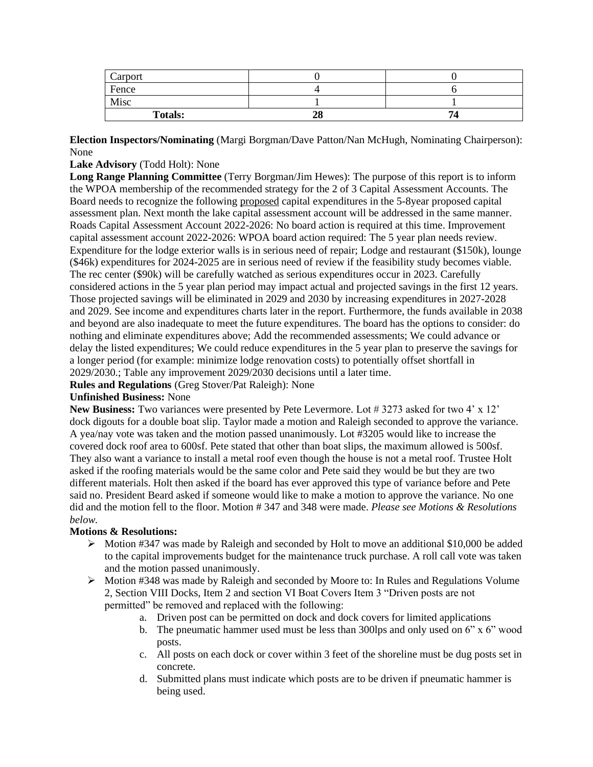| Carport        |    |    |
|----------------|----|----|
| Fence          |    |    |
| Misc           |    |    |
| <b>Totals:</b> | 28 | 7, |

**Election Inspectors/Nominating** (Margi Borgman/Dave Patton/Nan McHugh, Nominating Chairperson): None

### **Lake Advisory** (Todd Holt): None

**Long Range Planning Committee** (Terry Borgman/Jim Hewes): The purpose of this report is to inform the WPOA membership of the recommended strategy for the 2 of 3 Capital Assessment Accounts. The Board needs to recognize the following proposed capital expenditures in the 5-8year proposed capital assessment plan. Next month the lake capital assessment account will be addressed in the same manner. Roads Capital Assessment Account 2022-2026: No board action is required at this time. Improvement capital assessment account 2022-2026: WPOA board action required: The 5 year plan needs review. Expenditure for the lodge exterior walls is in serious need of repair; Lodge and restaurant (\$150k), lounge (\$46k) expenditures for 2024-2025 are in serious need of review if the feasibility study becomes viable. The rec center (\$90k) will be carefully watched as serious expenditures occur in 2023. Carefully considered actions in the 5 year plan period may impact actual and projected savings in the first 12 years. Those projected savings will be eliminated in 2029 and 2030 by increasing expenditures in 2027-2028 and 2029. See income and expenditures charts later in the report. Furthermore, the funds available in 2038 and beyond are also inadequate to meet the future expenditures. The board has the options to consider: do nothing and eliminate expenditures above; Add the recommended assessments; We could advance or delay the listed expenditures; We could reduce expenditures in the 5 year plan to preserve the savings for a longer period (for example: minimize lodge renovation costs) to potentially offset shortfall in 2029/2030.; Table any improvement 2029/2030 decisions until a later time.

**Rules and Regulations** (Greg Stover/Pat Raleigh): None

#### **Unfinished Business:** None

**New Business:** Two variances were presented by Pete Levermore. Lot # 3273 asked for two 4' x 12' dock digouts for a double boat slip. Taylor made a motion and Raleigh seconded to approve the variance. A yea/nay vote was taken and the motion passed unanimously. Lot #3205 would like to increase the covered dock roof area to 600sf. Pete stated that other than boat slips, the maximum allowed is 500sf. They also want a variance to install a metal roof even though the house is not a metal roof. Trustee Holt asked if the roofing materials would be the same color and Pete said they would be but they are two different materials. Holt then asked if the board has ever approved this type of variance before and Pete said no. President Beard asked if someone would like to make a motion to approve the variance. No one did and the motion fell to the floor. Motion # 347 and 348 were made. *Please see Motions & Resolutions below.*

# **Motions & Resolutions:**

- ➢ Motion #347 was made by Raleigh and seconded by Holt to move an additional \$10,000 be added to the capital improvements budget for the maintenance truck purchase. A roll call vote was taken and the motion passed unanimously.
- ➢ Motion #348 was made by Raleigh and seconded by Moore to: In Rules and Regulations Volume 2, Section VIII Docks, Item 2 and section VI Boat Covers Item 3 "Driven posts are not permitted" be removed and replaced with the following:
	- a. Driven post can be permitted on dock and dock covers for limited applications
	- b. The pneumatic hammer used must be less than 300lps and only used on 6" x 6" wood posts.
	- c. All posts on each dock or cover within 3 feet of the shoreline must be dug posts set in concrete.
	- d. Submitted plans must indicate which posts are to be driven if pneumatic hammer is being used.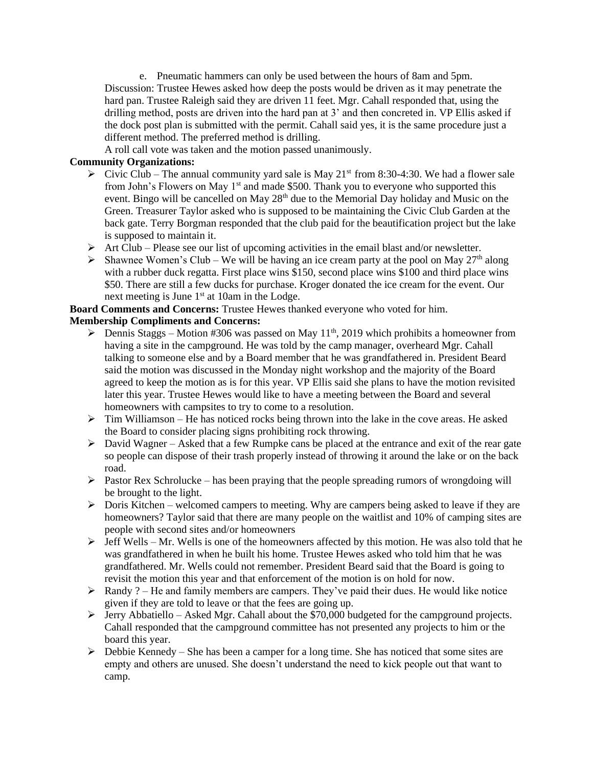e. Pneumatic hammers can only be used between the hours of 8am and 5pm. Discussion: Trustee Hewes asked how deep the posts would be driven as it may penetrate the hard pan. Trustee Raleigh said they are driven 11 feet. Mgr. Cahall responded that, using the drilling method, posts are driven into the hard pan at 3' and then concreted in. VP Ellis asked if the dock post plan is submitted with the permit. Cahall said yes, it is the same procedure just a different method. The preferred method is drilling.

A roll call vote was taken and the motion passed unanimously.

# **Community Organizations:**

- $\triangleright$  Civic Club The annual community yard sale is May 21<sup>st</sup> from 8:30-4:30. We had a flower sale from John's Flowers on May  $1<sup>st</sup>$  and made \$500. Thank you to everyone who supported this event. Bingo will be cancelled on May 28<sup>th</sup> due to the Memorial Day holiday and Music on the Green. Treasurer Taylor asked who is supposed to be maintaining the Civic Club Garden at the back gate. Terry Borgman responded that the club paid for the beautification project but the lake is supposed to maintain it.
- $\triangleright$  Art Club Please see our list of upcoming activities in the email blast and/or newsletter.
- $\triangleright$  Shawnee Women's Club We will be having an ice cream party at the pool on May 27<sup>th</sup> along with a rubber duck regatta. First place wins \$150, second place wins \$100 and third place wins \$50. There are still a few ducks for purchase. Kroger donated the ice cream for the event. Our next meeting is June 1<sup>st</sup> at 10am in the Lodge.

**Board Comments and Concerns:** Trustee Hewes thanked everyone who voted for him. **Membership Compliments and Concerns:**

- $\triangleright$  Dennis Staggs Motion #306 was passed on May 11<sup>th</sup>, 2019 which prohibits a homeowner from having a site in the campground. He was told by the camp manager, overheard Mgr. Cahall talking to someone else and by a Board member that he was grandfathered in. President Beard said the motion was discussed in the Monday night workshop and the majority of the Board agreed to keep the motion as is for this year. VP Ellis said she plans to have the motion revisited later this year. Trustee Hewes would like to have a meeting between the Board and several homeowners with campsites to try to come to a resolution.
- $\triangleright$  Tim Williamson He has noticed rocks being thrown into the lake in the cove areas. He asked the Board to consider placing signs prohibiting rock throwing.
- $\triangleright$  David Wagner Asked that a few Rumpke cans be placed at the entrance and exit of the rear gate so people can dispose of their trash properly instead of throwing it around the lake or on the back road.
- $\triangleright$  Pastor Rex Schrolucke has been praying that the people spreading rumors of wrongdoing will be brought to the light.
- $\triangleright$  Doris Kitchen welcomed campers to meeting. Why are campers being asked to leave if they are homeowners? Taylor said that there are many people on the waitlist and 10% of camping sites are people with second sites and/or homeowners
- $\triangleright$  Jeff Wells Mr. Wells is one of the homeowners affected by this motion. He was also told that he was grandfathered in when he built his home. Trustee Hewes asked who told him that he was grandfathered. Mr. Wells could not remember. President Beard said that the Board is going to revisit the motion this year and that enforcement of the motion is on hold for now.
- $\triangleright$  Randy ? He and family members are campers. They've paid their dues. He would like notice given if they are told to leave or that the fees are going up.
- $\triangleright$  Jerry Abbatiello Asked Mgr. Cahall about the \$70,000 budgeted for the campground projects. Cahall responded that the campground committee has not presented any projects to him or the board this year.
- $\triangleright$  Debbie Kennedy She has been a camper for a long time. She has noticed that some sites are empty and others are unused. She doesn't understand the need to kick people out that want to camp.